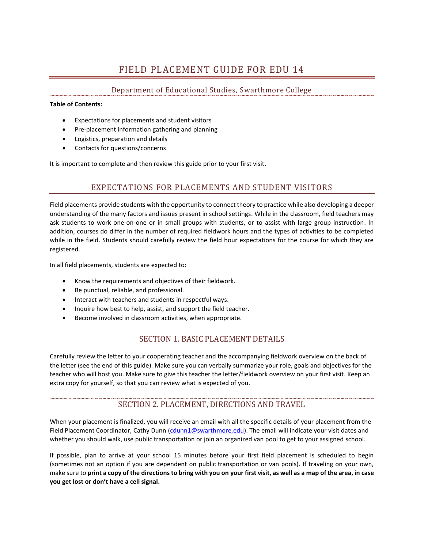# FIELD PLACEMENT GUIDE FOR EDU 14

### Department of Educational Studies, Swarthmore College

#### **Table of Contents:**

- Expectations for placements and student visitors
- Pre-placement information gathering and planning
- Logistics, preparation and details
- Contacts for questions/concerns

It is important to complete and then review this guide prior to your first visit.

### EXPECTATIONS FOR PLACEMENTS AND STUDENT VISITORS

Field placements provide students with the opportunity to connect theory to practice while also developing a deeper understanding of the many factors and issues present in school settings. While in the classroom, field teachers may ask students to work one-on-one or in small groups with students, or to assist with large group instruction. In addition, courses do differ in the number of required fieldwork hours and the types of activities to be completed while in the field. Students should carefully review the field hour expectations for the course for which they are registered.

In all field placements, students are expected to:

- Know the requirements and objectives of their fieldwork.
- Be punctual, reliable, and professional.
- Interact with teachers and students in respectful ways.
- Inquire how best to help, assist, and support the field teacher.
- Become involved in classroom activities, when appropriate.

### SECTION 1. BASIC PLACEMENT DETAILS

Carefully review the letter to your cooperating teacher and the accompanying fieldwork overview on the back of the letter (see the end of this guide). Make sure you can verbally summarize your role, goals and objectives for the teacher who will host you. Make sure to give this teacher the letter/fieldwork overview on your first visit. Keep an extra copy for yourself, so that you can review what is expected of you.

## SECTION 2. PLACEMENT, DIRECTIONS AND TRAVEL

When your placement is finalized, you will receive an email with all the specific details of your placement from the Field Placement Coordinator, Cathy Dunn [\(cdunn1@swarthmore.edu\)](mailto:cdunn1@swarthmore.edu). The email will indicate your visit dates and whether you should walk, use public transportation or join an organized van pool to get to your assigned school.

If possible, plan to arrive at your school 15 minutes before your first field placement is scheduled to begin (sometimes not an option if you are dependent on public transportation or van pools). If traveling on your own, make sure to **print a copy of the directions to bring with you on your first visit, as well as a map of the area, in case you get lost or don't have a cell signal.**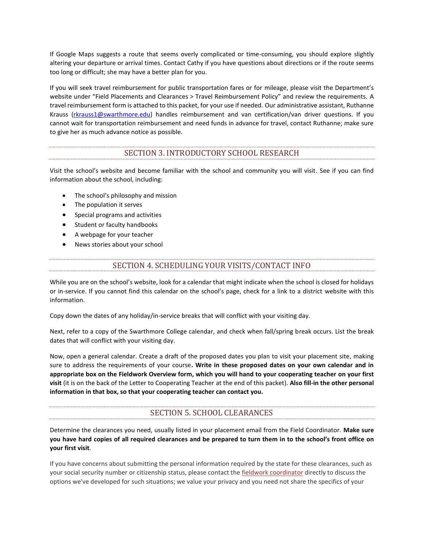If Google Maps suggests a route that seems overly complicated or time-consuming, you should explore slightly altering your departure or arrival times. Contact Cathy if you have questions about directions or if the route seems too long or difficult; she may have a better plan for you.

If you will seek travel reimbursement for public transportation fares or for mileage, please visit the Department's website under "Field Placements and Clearances > Travel Reimbursement Policy" and review the requirements. A travel reimbursement form is attached to this packet, for your use if needed. Our administrative assistant, Ruthanne Krauss [\(rkrauss1@swarthmore.edu\)](mailto:rkrauss1@swarthmore.edu) handles reimbursement and van certification/van driver questions. If you cannot wait for transportation reimbursement and need funds in advance for travel, contact Ruthanne; make sure to give her as much advance notice as possible.

#### SECTION 3. INTRODUCTORY SCHOOL RESEARCH

Visit the school's website and become familiar with the school and community you will visit. See if you can find information about the school, including:

- The school's philosophy and mission
- The population it serves
- Special programs and activities
- Student or faculty handbooks
- A webpage for your teacher
- News stories about your school

#### SECTION 4. SCHEDULING YOUR VISITS/CONTACT INFO

While you are on the school's website, look for a calendar that might indicate when the school is closed for holidays or in-service. If you cannot find this calendar on the school's page, check for a link to a district website with this information.

Copy down the dates of any holiday/in-service breaks that will conflict with your visiting day.

Next, refer to a copy of the Swarthmore College calendar, and check when fall/spring break occurs. List the break dates that will conflict with your visiting day.

Now, open a general calendar. Create a draft of the proposed dates you plan to visit your placement site, making sure to address the requirements of your course**. Write in these proposed dates on your own calendar and in appropriate box on the Fieldwork Overview form, which you will hand to your cooperating teacher on your first visit** (it is on the back of the Letter to Cooperating Teacher at the end of this packet). **Also fill-in the other personal information in that box, so that your cooperating teacher can contact you.**

## SECTION 5. SCHOOL CLEARANCES

Determine the clearances you need, usually listed in your placement email from the Field Coordinator. **Make sure you have hard copies of all required clearances and be prepared to turn them in to the school's front office on your first visit**.

If you have concerns about submitting the personal information required by the state for these clearances, such as your social security number or citizenship status, please contact the [fieldwork coordinator](mailto:cdunn1@swarthmore.edu) directly to discuss the options we've developed for such situations; we value your privacy and you need not share the specifics of your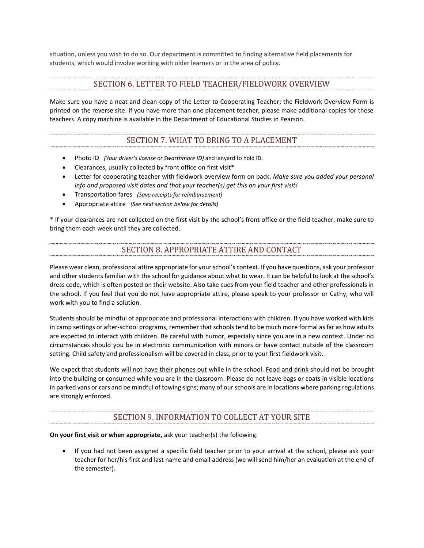situation, unless you wish to do so. Our department is committed to finding alternative field placements for students, which would involve working with older learners or in the area of policy.

#### SECTION 6. LETTER TO FIELD TEACHER/FIELDWORK OVERVIEW

Make sure you have a neat and clean copy of the Letter to Cooperating Teacher; the Fieldwork Overview Form is printed on the reverse site. If you have more than one placement teacher, please make additional copies for these teachers. A copy machine is available in the Department of Educational Studies in Pearson.

### SECTION 7. WHAT TO BRING TO A PLACEMENT

- Photo ID *(Your driver's license or Swarthmore ID)* and lanyard to hold ID.
- Clearances, usually collected by front office on first visit\*
- Letter for cooperating teacher with fieldwork overview form on back. *Make sure you added your personal info and proposed visit dates and that your teacher(s) get this on your first visit!*
- Transportation fares *(Save receipts for reimbursement)*
- Appropriate attire *(See next section below for details)*

\* If your clearances are not collected on the first visit by the school's front office or the field teacher, make sure to bring them each week until they are collected.

### SECTION 8. APPROPRIATE ATTIRE AND CONTACT

Please wear clean, professional attire appropriate for your school's context. If you have questions, ask your professor and other students familiar with the school for guidance about what to wear. It can be helpful to look at the school's dress code, which is often posted on their website. Also take cues from your field teacher and other professionals in the school. If you feel that you do not have appropriate attire, please speak to your professor or Cathy, who will work with you to find a solution.

Students should be mindful of appropriate and professional interactions with children. If you have worked with kids in camp settings or after-school programs, remember that schools tend to be much more formal as far as how adults are expected to interact with children. Be careful with humor, especially since you are in a new context. Under no circumstances should you be in electronic communication with minors or have contact outside of the classroom setting. Child safety and professionalism will be covered in class, prior to your first fieldwork visit.

We expect that students will not have their phones out while in the school. Food and drink should not be brought into the building or consumed while you are in the classroom. Please do not leave bags or coats in visible locations in parked vans or cars and be mindful of towing signs; many of our schools are in locations where parking regulations are strongly enforced.

## SECTION 9. INFORMATION TO COLLECT AT YOUR SITE

**On your first visit or when appropriate,** ask your teacher(s) the following:

 If you had not been assigned a specific field teacher prior to your arrival at the school, please ask your teacher for her/his first and last name and email address (we will send him/her an evaluation at the end of the semester).